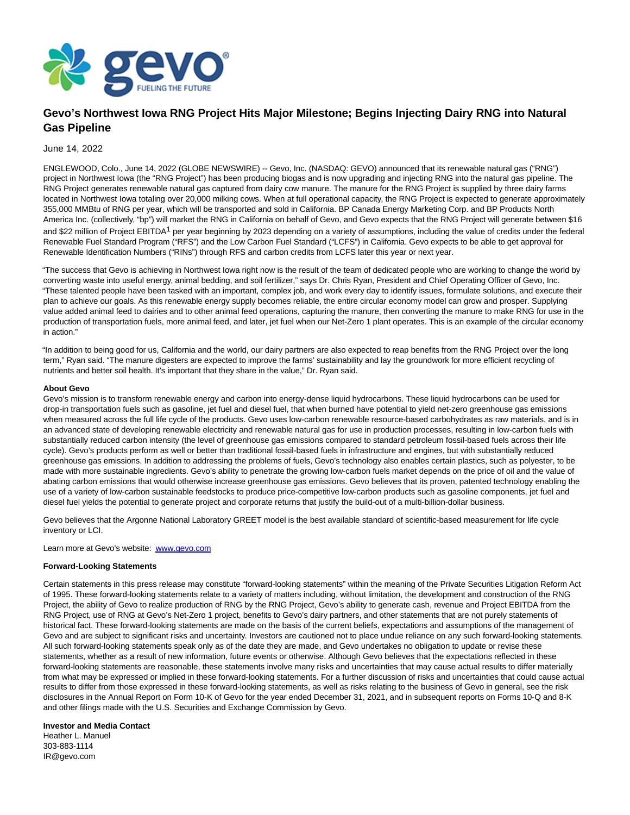

# **Gevo's Northwest Iowa RNG Project Hits Major Milestone; Begins Injecting Dairy RNG into Natural Gas Pipeline**

## June 14, 2022

ENGLEWOOD, Colo., June 14, 2022 (GLOBE NEWSWIRE) -- Gevo, Inc. (NASDAQ: GEVO) announced that its renewable natural gas ("RNG") project in Northwest Iowa (the "RNG Project") has been producing biogas and is now upgrading and injecting RNG into the natural gas pipeline. The RNG Project generates renewable natural gas captured from dairy cow manure. The manure for the RNG Project is supplied by three dairy farms located in Northwest Iowa totaling over 20,000 milking cows. When at full operational capacity, the RNG Project is expected to generate approximately 355,000 MMBtu of RNG per year, which will be transported and sold in California. BP Canada Energy Marketing Corp. and BP Products North America Inc. (collectively, "bp") will market the RNG in California on behalf of Gevo, and Gevo expects that the RNG Project will generate between \$16 and \$22 million of Project EBITDA<sup>1</sup> per year beginning by 2023 depending on a variety of assumptions, including the value of credits under the federal Renewable Fuel Standard Program ("RFS") and the Low Carbon Fuel Standard ("LCFS") in California. Gevo expects to be able to get approval for Renewable Identification Numbers ("RINs") through RFS and carbon credits from LCFS later this year or next year.

"The success that Gevo is achieving in Northwest Iowa right now is the result of the team of dedicated people who are working to change the world by converting waste into useful energy, animal bedding, and soil fertilizer," says Dr. Chris Ryan, President and Chief Operating Officer of Gevo, Inc. "These talented people have been tasked with an important, complex job, and work every day to identify issues, formulate solutions, and execute their plan to achieve our goals. As this renewable energy supply becomes reliable, the entire circular economy model can grow and prosper. Supplying value added animal feed to dairies and to other animal feed operations, capturing the manure, then converting the manure to make RNG for use in the production of transportation fuels, more animal feed, and later, jet fuel when our Net-Zero 1 plant operates. This is an example of the circular economy in action."

"In addition to being good for us, California and the world, our dairy partners are also expected to reap benefits from the RNG Project over the long term," Ryan said. "The manure digesters are expected to improve the farms' sustainability and lay the groundwork for more efficient recycling of nutrients and better soil health. It's important that they share in the value," Dr. Ryan said.

#### **About Gevo**

Gevo's mission is to transform renewable energy and carbon into energy-dense liquid hydrocarbons. These liquid hydrocarbons can be used for drop-in transportation fuels such as gasoline, jet fuel and diesel fuel, that when burned have potential to yield net-zero greenhouse gas emissions when measured across the full life cycle of the products. Gevo uses low-carbon renewable resource-based carbohydrates as raw materials, and is in an advanced state of developing renewable electricity and renewable natural gas for use in production processes, resulting in low-carbon fuels with substantially reduced carbon intensity (the level of greenhouse gas emissions compared to standard petroleum fossil-based fuels across their life cycle). Gevo's products perform as well or better than traditional fossil-based fuels in infrastructure and engines, but with substantially reduced greenhouse gas emissions. In addition to addressing the problems of fuels, Gevo's technology also enables certain plastics, such as polyester, to be made with more sustainable ingredients. Gevo's ability to penetrate the growing low-carbon fuels market depends on the price of oil and the value of abating carbon emissions that would otherwise increase greenhouse gas emissions. Gevo believes that its proven, patented technology enabling the use of a variety of low-carbon sustainable feedstocks to produce price-competitive low-carbon products such as gasoline components, jet fuel and diesel fuel yields the potential to generate project and corporate returns that justify the build-out of a multi-billion-dollar business.

Gevo believes that the Argonne National Laboratory GREET model is the best available standard of scientific-based measurement for life cycle inventory or LCI.

Learn more at Gevo's website: [www.gevo.com](https://www.globenewswire.com/Tracker?data=Jw5zJjMcz4IX9CdJSFNVAdw7p6FEL0VK6cqAkad8kqRYraIlRPesUeVIBNztyRInHR8AJ7B6wRTw2c1mfZ5xHQ==)

#### **Forward-Looking Statements**

Certain statements in this press release may constitute "forward-looking statements" within the meaning of the Private Securities Litigation Reform Act of 1995. These forward-looking statements relate to a variety of matters including, without limitation, the development and construction of the RNG Project, the ability of Gevo to realize production of RNG by the RNG Project, Gevo's ability to generate cash, revenue and Project EBITDA from the RNG Project, use of RNG at Gevo's Net-Zero 1 project, benefits to Gevo's dairy partners, and other statements that are not purely statements of historical fact. These forward-looking statements are made on the basis of the current beliefs, expectations and assumptions of the management of Gevo and are subject to significant risks and uncertainty. Investors are cautioned not to place undue reliance on any such forward-looking statements. All such forward-looking statements speak only as of the date they are made, and Gevo undertakes no obligation to update or revise these statements, whether as a result of new information, future events or otherwise. Although Gevo believes that the expectations reflected in these forward-looking statements are reasonable, these statements involve many risks and uncertainties that may cause actual results to differ materially from what may be expressed or implied in these forward-looking statements. For a further discussion of risks and uncertainties that could cause actual results to differ from those expressed in these forward-looking statements, as well as risks relating to the business of Gevo in general, see the risk disclosures in the Annual Report on Form 10-K of Gevo for the year ended December 31, 2021, and in subsequent reports on Forms 10-Q and 8-K and other filings made with the U.S. Securities and Exchange Commission by Gevo.

### **Investor and Media Contact**

Heather L. Manuel 303-883-1114 IR@gevo.com